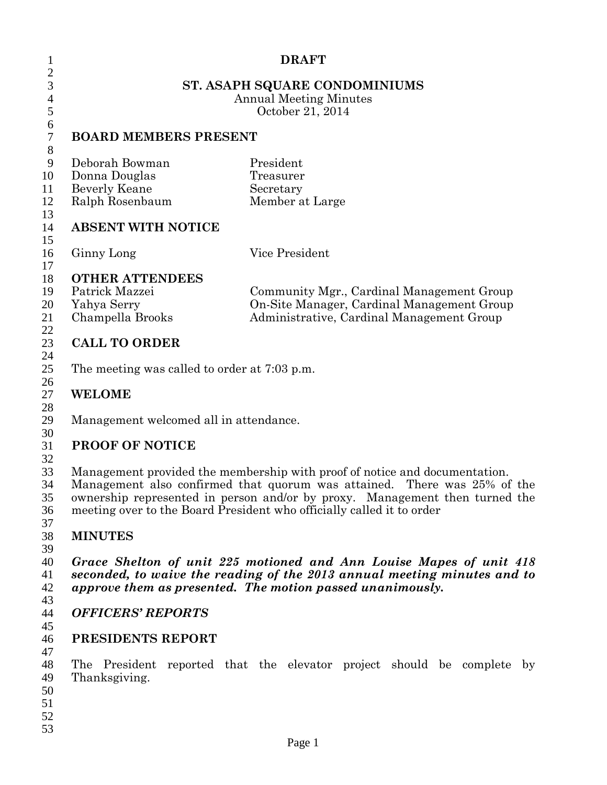| 1                                                                                                         | <b>DRAFT</b><br>ST. ASAPH SQUARE CONDOMINIUMS<br><b>Annual Meeting Minutes</b><br>October 21, 2014                                                                                                                                                                                                                                                                                 |  |                                     |                 |  |  |                                                                                                                                      |  |  |  |
|-----------------------------------------------------------------------------------------------------------|------------------------------------------------------------------------------------------------------------------------------------------------------------------------------------------------------------------------------------------------------------------------------------------------------------------------------------------------------------------------------------|--|-------------------------------------|-----------------|--|--|--------------------------------------------------------------------------------------------------------------------------------------|--|--|--|
| $\overline{c}$<br>3<br>$\overline{4}$<br>5                                                                |                                                                                                                                                                                                                                                                                                                                                                                    |  |                                     |                 |  |  |                                                                                                                                      |  |  |  |
| $\boldsymbol{6}$<br>$\boldsymbol{7}$<br>$8\,$                                                             | <b>BOARD MEMBERS PRESENT</b>                                                                                                                                                                                                                                                                                                                                                       |  |                                     |                 |  |  |                                                                                                                                      |  |  |  |
| 9<br>10<br>11<br>12<br>13<br>14                                                                           | Deborah Bowman<br>Donna Douglas<br>Beverly Keane<br>Ralph Rosenbaum<br><b>ABSENT WITH NOTICE</b>                                                                                                                                                                                                                                                                                   |  | President<br>Treasurer<br>Secretary | Member at Large |  |  |                                                                                                                                      |  |  |  |
| 15<br>16                                                                                                  | Ginny Long                                                                                                                                                                                                                                                                                                                                                                         |  |                                     | Vice President  |  |  |                                                                                                                                      |  |  |  |
| 17<br>18<br><b>OTHER ATTENDEES</b><br>19<br>Patrick Mazzei<br>20<br>Yahya Serry<br>Champella Brooks<br>21 |                                                                                                                                                                                                                                                                                                                                                                                    |  |                                     |                 |  |  | Community Mgr., Cardinal Management Group<br>On-Site Manager, Cardinal Management Group<br>Administrative, Cardinal Management Group |  |  |  |
| 22<br>23<br>24<br>25                                                                                      | <b>CALL TO ORDER</b><br>The meeting was called to order at 7:03 p.m.                                                                                                                                                                                                                                                                                                               |  |                                     |                 |  |  |                                                                                                                                      |  |  |  |
| 26<br>27<br>28                                                                                            | <b>WELOME</b>                                                                                                                                                                                                                                                                                                                                                                      |  |                                     |                 |  |  |                                                                                                                                      |  |  |  |
| 29<br>30<br>31                                                                                            | Management welcomed all in attendance.<br><b>PROOF OF NOTICE</b><br>Management provided the membership with proof of notice and documentation.<br>Management also confirmed that quorum was attained. There was 25% of the<br>ownership represented in person and/or by proxy. Management then turned the<br>meeting over to the Board President who officially called it to order |  |                                     |                 |  |  |                                                                                                                                      |  |  |  |
| 32<br>33<br>34<br>35<br>36<br>37                                                                          |                                                                                                                                                                                                                                                                                                                                                                                    |  |                                     |                 |  |  |                                                                                                                                      |  |  |  |
| 38<br>39                                                                                                  | <b>MINUTES</b>                                                                                                                                                                                                                                                                                                                                                                     |  |                                     |                 |  |  |                                                                                                                                      |  |  |  |
| 40<br>41<br>42<br>43                                                                                      | Grace Shelton of unit 225 motioned and Ann Louise Mapes of unit 418<br>seconded, to waive the reading of the 2013 annual meeting minutes and to<br>approve them as presented. The motion passed unanimously.                                                                                                                                                                       |  |                                     |                 |  |  |                                                                                                                                      |  |  |  |
| 44<br>45                                                                                                  | <b>OFFICERS' REPORTS</b>                                                                                                                                                                                                                                                                                                                                                           |  |                                     |                 |  |  |                                                                                                                                      |  |  |  |
| 46<br>47                                                                                                  | PRESIDENTS REPORT                                                                                                                                                                                                                                                                                                                                                                  |  |                                     |                 |  |  |                                                                                                                                      |  |  |  |
| 48<br>49<br>50<br>51<br>52<br>53                                                                          | The President reported that the elevator project should be complete by<br>Thanksgiving.                                                                                                                                                                                                                                                                                            |  |                                     |                 |  |  |                                                                                                                                      |  |  |  |
|                                                                                                           |                                                                                                                                                                                                                                                                                                                                                                                    |  |                                     | Page 1          |  |  |                                                                                                                                      |  |  |  |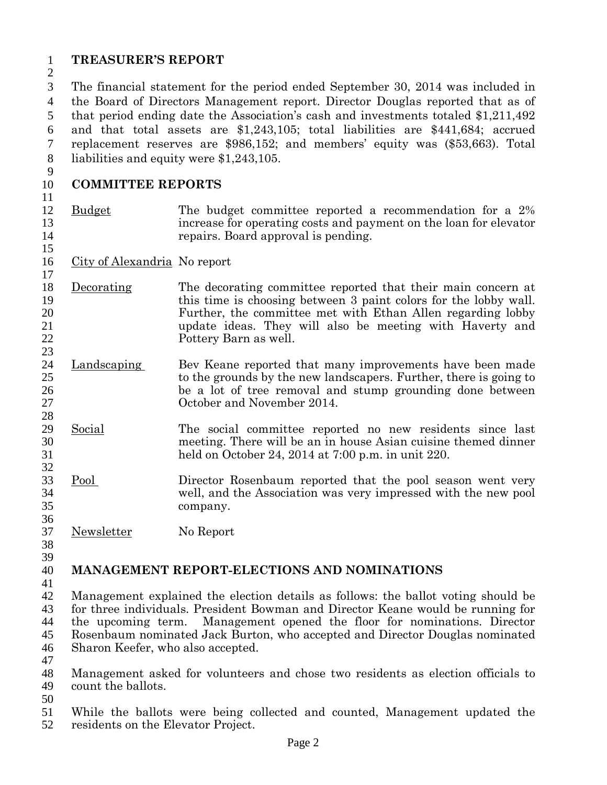# **TREASURER'S REPORT**

 The financial statement for the period ended September 30, 2014 was included in the Board of Directors Management report. Director Douglas reported that as of that period ending date the Association's cash and investments totaled \$1,211,492 and that total assets are \$1,243,105; total liabilities are \$441,684; accrued replacement reserves are \$986,152; and members' equity was (\$53,663). Total liabilities and equity were \$1,243,105.

#### **COMMITTEE REPORTS**

- Budget The budget committee reported a recommendation for a 2% increase for operating costs and payment on the loan for elevator repairs. Board approval is pending.
- City of Alexandria No report
- 18 <u>Decorating</u> The decorating committee reported that their main concern at this time is choosing between 3 paint colors for the lobby wall. this time is choosing between 3 paint colors for the lobby wall. Further, the committee met with Ethan Allen regarding lobby update ideas. They will also be meeting with Haverty and Pottery Barn as well.
- 24 Landscaping Bev Keane reported that many improvements have been made 25 to the grounds by the new landscapers. Further, there is going to 26 be a lot of tree removal and stump grounding done between<br>27 cotober and November 2014. October and November 2014.
- Social The social committee reported no new residents since last 30 meeting. There will be an in house Asian cuisine themed dinner<br>31 held on October 24, 2014 at 7:00 p.m. in unit 220. held on October 24, 2014 at 7:00 p.m. in unit 220.
- Pool Director Rosenbaum reported that the pool season went very well, and the Association was very impressed with the new pool company.

Newsletter No Report

 

### **MANAGEMENT REPORT-ELECTIONS AND NOMINATIONS**

 Management explained the election details as follows: the ballot voting should be 43 for three individuals. President Bowman and Director Keane would be running for<br>44 the upcoming term. Management opened the floor for nominations. Director the upcoming term. Management opened the floor for nominations. Director Rosenbaum nominated Jack Burton, who accepted and Director Douglas nominated Sharon Keefer, who also accepted.

 Management asked for volunteers and chose two residents as election officials to count the ballots.

 While the ballots were being collected and counted, Management updated the residents on the Elevator Project.